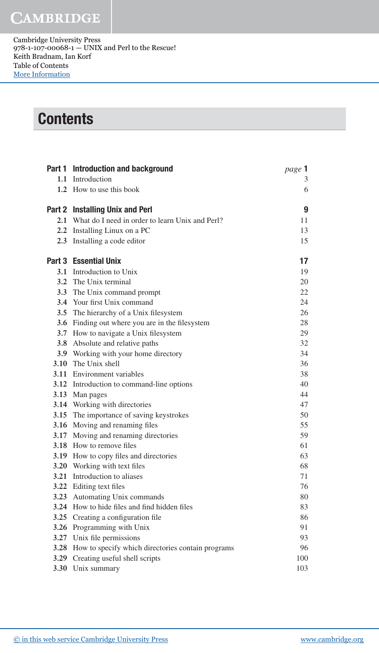## **CAMBRIDGE**

Cambridge University Press 978-1-107-00068-1 — UNIX and Perl to the Rescue! Keith Bradnam, Ian Korf Table of Contents [More Information](www.cambridge.org/9781107000681)

## **Contents**

| Part 1 Introduction and background                     | page 1 |
|--------------------------------------------------------|--------|
| 1.1 Introduction                                       | 3      |
| 1.2 How to use this book                               | 6      |
| Part 2 Installing Unix and Perl                        | 9      |
| 2.1 What do I need in order to learn Unix and Perl?    | 11     |
| 2.2 Installing Linux on a PC                           | 13     |
| 2.3 Installing a code editor                           | 15     |
| <b>Part 3</b> Essential Unix                           | 17     |
| 3.1 Introduction to Unix                               | 19     |
| 3.2 The Unix terminal                                  | 20     |
| 3.3 The Unix command prompt                            | 22     |
| 3.4 Your first Unix command                            | 24     |
| 3.5 The hierarchy of a Unix filesystem                 | 26     |
| 3.6 Finding out where you are in the filesystem        | 28     |
| 3.7 How to navigate a Unix filesystem                  | 29     |
| 3.8 Absolute and relative paths                        | 32     |
| 3.9 Working with your home directory                   | 34     |
| 3.10 The Unix shell                                    | 36     |
| <b>3.11</b> Environment variables                      | 38     |
| 3.12 Introduction to command-line options              | 40     |
| 3.13 Man pages                                         | 44     |
| 3.14 Working with directories                          | 47     |
| 3.15 The importance of saving keystrokes               | 50     |
| 3.16 Moving and renaming files                         | 55     |
| 3.17 Moving and renaming directories                   | 59     |
| <b>3.18</b> How to remove files                        | 61     |
| 3.19 How to copy files and directories                 | 63     |
| 3.20 Working with text files                           | 68     |
| 3.21 Introduction to aliases                           | 71     |
| 3.22 Editing text files                                | 76     |
| 3.23 Automating Unix commands                          | 80     |
| 3.24 How to hide files and find hidden files           | 83     |
| 3.25 Creating a configuration file                     | 86     |
| 3.26 Programming with Unix                             | 91     |
| 3.27 Unix file permissions                             | 93     |
| 3.28 How to specify which directories contain programs | 96     |
| 3.29 Creating useful shell scripts                     | 100    |
| 3.30 Unix summary                                      | 103    |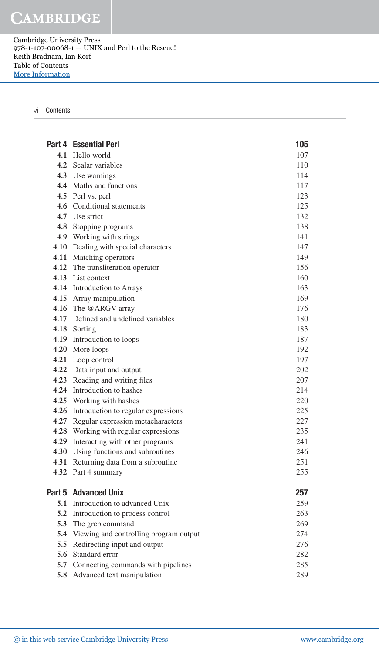**CAMBRIDGE** 

Cambridge University Press 978-1-107-00068-1 — UNIX and Perl to the Rescue! Keith Bradnam, Ian Korf Table of Contents [More Information](www.cambridge.org/9781107000681)

## vi Contents

|        | <b>Part 4 Essential Perl</b>               | 105 |
|--------|--------------------------------------------|-----|
|        | 4.1 Hello world                            | 107 |
|        | 4.2 Scalar variables                       | 110 |
|        | 4.3 Use warnings                           | 114 |
|        | 4.4 Maths and functions                    | 117 |
|        | 4.5 Perl vs. perl                          | 123 |
|        | 4.6 Conditional statements                 | 125 |
|        | 4.7 Use strict                             | 132 |
|        | 4.8 Stopping programs                      | 138 |
|        | 4.9 Working with strings                   | 141 |
|        | 4.10 Dealing with special characters       | 147 |
|        | 4.11 Matching operators                    | 149 |
|        | 4.12 The transliteration operator          | 156 |
|        | 4.13 List context                          | 160 |
|        | 4.14 Introduction to Arrays                | 163 |
|        | 4.15 Array manipulation                    | 169 |
|        | 4.16 The @ARGV array                       | 176 |
|        | 4.17 Defined and undefined variables       | 180 |
|        | 4.18 Sorting                               | 183 |
|        | 4.19 Introduction to loops                 | 187 |
|        | 4.20 More loops                            | 192 |
|        | 4.21 Loop control                          | 197 |
|        | 4.22 Data input and output                 | 202 |
|        | 4.23 Reading and writing files             | 207 |
|        | 4.24 Introduction to hashes                | 214 |
|        | 4.25 Working with hashes                   | 220 |
|        | 4.26 Introduction to regular expressions   | 225 |
|        | 4.27 Regular expression metacharacters     | 227 |
|        | 4.28 Working with regular expressions      | 235 |
|        | 4.29 Interacting with other programs       | 241 |
|        | 4.30 Using functions and subroutines       | 246 |
|        | 4.31 Returning data from a subroutine      | 251 |
|        | 4.32 Part 4 summary                        | 255 |
| Part 5 | <b>Advanced Unix</b>                       | 257 |
|        | 5.1 Introduction to advanced Unix          | 259 |
|        | 5.2 Introduction to process control        | 263 |
| 5.3    | The grep command                           | 269 |
|        | 5.4 Viewing and controlling program output | 274 |
| 5.5    | Redirecting input and output               | 276 |
| 5.6    | Standard error                             | 282 |
|        | 5.7 Connecting commands with pipelines     | 285 |
|        | 5.8 Advanced text manipulation             | 289 |